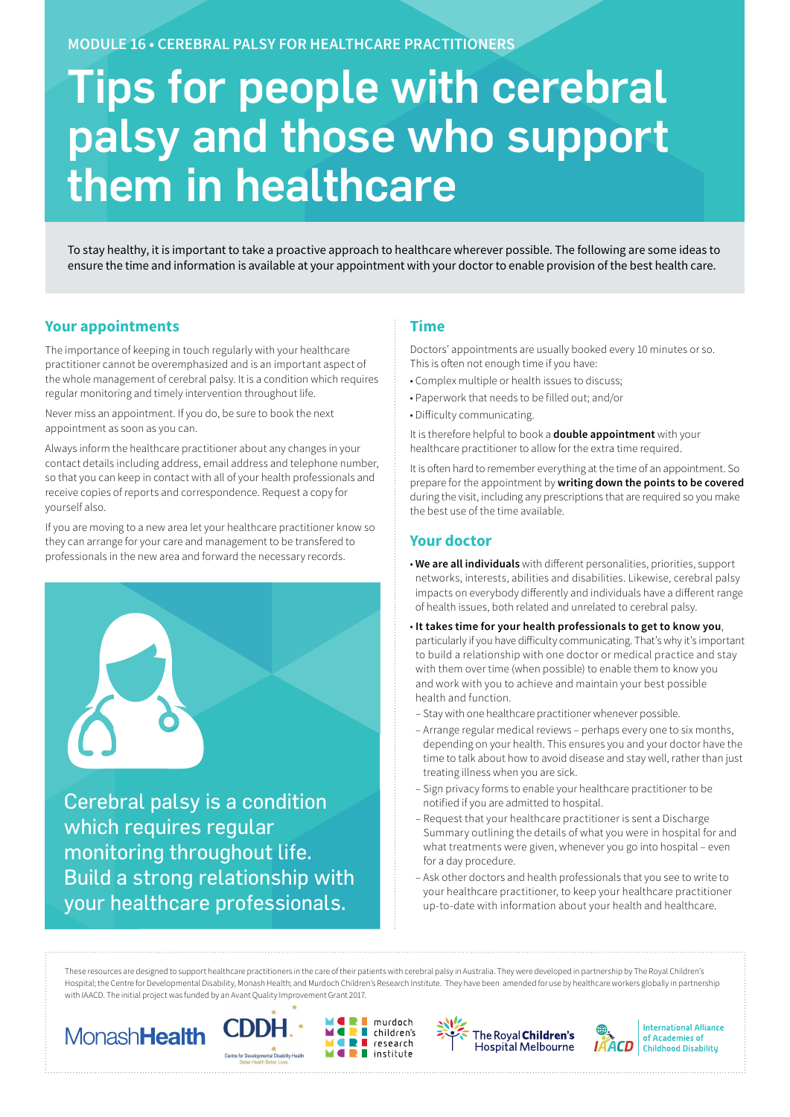**MODULE 16 • CEREBRAL PALSY FOR HEALTHCARE PRACTITIONERS**

# Tips for people with cerebral palsy and those who support them in healthcare

To stay healthy, it is important to take a proactive approach to healthcare wherever possible. The following are some ideas to ensure the time and information is available at your appointment with your doctor to enable provision of the best health care.

# **Your appointments**

The importance of keeping in touch regularly with your healthcare practitioner cannot be overemphasized and is an important aspect of the whole management of cerebral palsy. It is a condition which requires regular monitoring and timely intervention throughout life.

Never miss an appointment. If you do, be sure to book the next appointment as soon as you can.

Always inform the healthcare practitioner about any changes in your contact details including address, email address and telephone number, so that you can keep in contact with all of your health professionals and receive copies of reports and correspondence. Request a copy for yourself also.

If you are moving to a new area let your healthcare practitioner know so they can arrange for your care and management to be transfered to professionals in the new area and forward the necessary records.



Build a strong relationship with your healthcare professionals.

## **Time**

Doctors' appointments are usually booked every 10 minutes or so. This is often not enough time if you have:

- Complex multiple or health issues to discuss;
- Paperwork that needs to be filled out; and/or
- Difficulty communicating.

It is therefore helpful to book a **double appointment** with your healthcare practitioner to allow for the extra time required.

It is often hard to remember everything at the time of an appointment. So prepare for the appointment by **writing down the points to be covered**  during the visit, including any prescriptions that are required so you make the best use of the time available.

## **Your doctor**

- **We are all individuals** with different personalities, priorities, support networks, interests, abilities and disabilities. Likewise, cerebral palsy impacts on everybody differently and individuals have a different range of health issues, both related and unrelated to cerebral palsy.
- **It takes time for your health professionals to get to know you**, particularly if you have difficulty communicating. That's why it's important to build a relationship with one doctor or medical practice and stay with them over time (when possible) to enable them to know you and work with you to achieve and maintain your best possible health and function.
- Stay with one healthcare practitioner whenever possible.
- Arrange regular medical reviews perhaps every one to six months, depending on your health. This ensures you and your doctor have the time to talk about how to avoid disease and stay well, rather than just treating illness when you are sick.
- Sign privacy forms to enable your healthcare practitioner to be notified if you are admitted to hospital.
- Request that your healthcare practitioner is sent a Discharge Summary outlining the details of what you were in hospital for and what treatments were given, whenever you go into hospital – even for a day procedure.
- Ask other doctors and health professionals that you see to write to your healthcare practitioner, to keep your healthcare practitioner up-to-date with information about your health and healthcare.

These resources are designed to support healthcare practitioners in the care of their patients with cerebral palsy in Australia. They were developed in partnership by The Royal Children's Hospital; the Centre for Developmental Disability, Monash Health; and Murdoch Children's Research Institute. They have been amended for use by healthcare workers globally in partnership with IAACD. The initial project was funded by an Avant Quality Improvement Grant 2017.

murdoch

research

 $\blacksquare$  children's

 $\blacksquare$  institute

Ξ









**International Alliance** of Academies of **Childhood Disability**